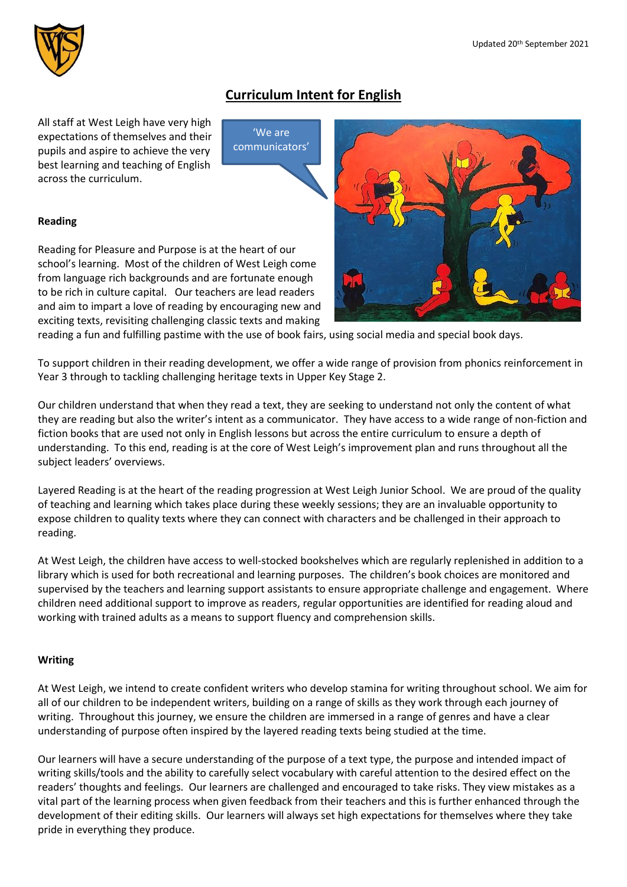

# **Curriculum Intent for English**

All staff at West Leigh have very high expectations of themselves and their pupils and aspire to achieve the very best learning and teaching of English across the curriculum.

'We are communicators'

# **Reading**

Reading for Pleasure and Purpose is at the heart of our school's learning. Most of the children of West Leigh come from language rich backgrounds and are fortunate enough to be rich in culture capital. Our teachers are lead readers and aim to impart a love of reading by encouraging new and exciting texts, revisiting challenging classic texts and making



reading a fun and fulfilling pastime with the use of book fairs, using social media and special book days.

To support children in their reading development, we offer a wide range of provision from phonics reinforcement in Year 3 through to tackling challenging heritage texts in Upper Key Stage 2.

Our children understand that when they read a text, they are seeking to understand not only the content of what they are reading but also the writer's intent as a communicator. They have access to a wide range of non-fiction and fiction books that are used not only in English lessons but across the entire curriculum to ensure a depth of understanding. To this end, reading is at the core of West Leigh's improvement plan and runs throughout all the subject leaders' overviews.

Layered Reading is at the heart of the reading progression at West Leigh Junior School. We are proud of the quality of teaching and learning which takes place during these weekly sessions; they are an invaluable opportunity to expose children to quality texts where they can connect with characters and be challenged in their approach to reading.

At West Leigh, the children have access to well-stocked bookshelves which are regularly replenished in addition to a library which is used for both recreational and learning purposes. The children's book choices are monitored and supervised by the teachers and learning support assistants to ensure appropriate challenge and engagement. Where children need additional support to improve as readers, regular opportunities are identified for reading aloud and working with trained adults as a means to support fluency and comprehension skills.

# **Writing**

At West Leigh, we intend to create confident writers who develop stamina for writing throughout school. We aim for all of our children to be independent writers, building on a range of skills as they work through each journey of writing. Throughout this journey, we ensure the children are immersed in a range of genres and have a clear understanding of purpose often inspired by the layered reading texts being studied at the time.

Our learners will have a secure understanding of the purpose of a text type, the purpose and intended impact of writing skills/tools and the ability to carefully select vocabulary with careful attention to the desired effect on the readers' thoughts and feelings. Our learners are challenged and encouraged to take risks. They view mistakes as a vital part of the learning process when given feedback from their teachers and this is further enhanced through the development of their editing skills. Our learners will always set high expectations for themselves where they take pride in everything they produce.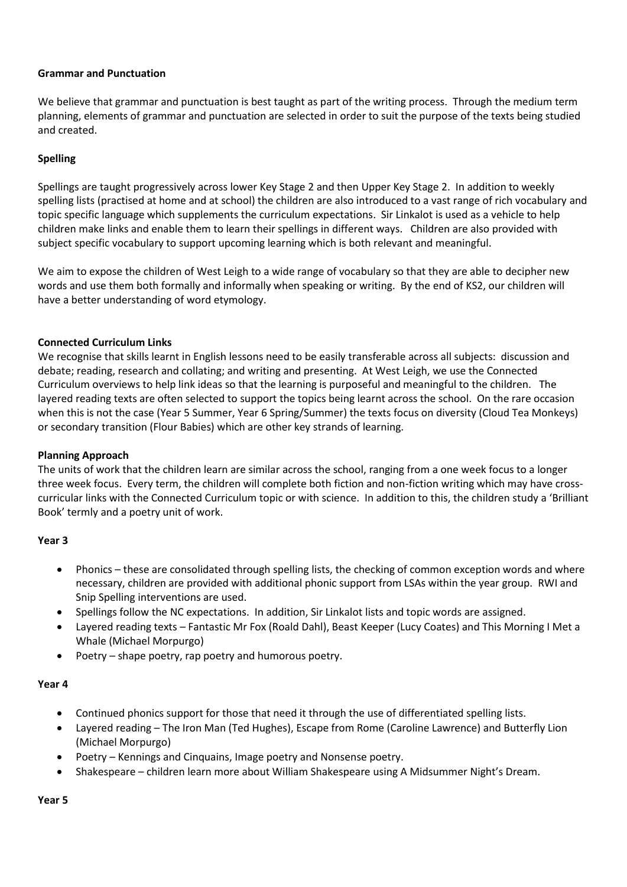## **Grammar and Punctuation**

We believe that grammar and punctuation is best taught as part of the writing process. Through the medium term planning, elements of grammar and punctuation are selected in order to suit the purpose of the texts being studied and created.

# **Spelling**

Spellings are taught progressively across lower Key Stage 2 and then Upper Key Stage 2. In addition to weekly spelling lists (practised at home and at school) the children are also introduced to a vast range of rich vocabulary and topic specific language which supplements the curriculum expectations. Sir Linkalot is used as a vehicle to help children make links and enable them to learn their spellings in different ways. Children are also provided with subject specific vocabulary to support upcoming learning which is both relevant and meaningful.

We aim to expose the children of West Leigh to a wide range of vocabulary so that they are able to decipher new words and use them both formally and informally when speaking or writing. By the end of KS2, our children will have a better understanding of word etymology.

## **Connected Curriculum Links**

We recognise that skills learnt in English lessons need to be easily transferable across all subjects: discussion and debate; reading, research and collating; and writing and presenting. At West Leigh, we use the Connected Curriculum overviews to help link ideas so that the learning is purposeful and meaningful to the children. The layered reading texts are often selected to support the topics being learnt across the school. On the rare occasion when this is not the case (Year 5 Summer, Year 6 Spring/Summer) the texts focus on diversity (Cloud Tea Monkeys) or secondary transition (Flour Babies) which are other key strands of learning.

#### **Planning Approach**

The units of work that the children learn are similar across the school, ranging from a one week focus to a longer three week focus. Every term, the children will complete both fiction and non-fiction writing which may have crosscurricular links with the Connected Curriculum topic or with science. In addition to this, the children study a 'Brilliant Book' termly and a poetry unit of work.

#### **Year 3**

- Phonics these are consolidated through spelling lists, the checking of common exception words and where necessary, children are provided with additional phonic support from LSAs within the year group. RWI and Snip Spelling interventions are used.
- Spellings follow the NC expectations. In addition, Sir Linkalot lists and topic words are assigned.
- Layered reading texts Fantastic Mr Fox (Roald Dahl), Beast Keeper (Lucy Coates) and This Morning I Met a Whale (Michael Morpurgo)
- Poetry shape poetry, rap poetry and humorous poetry.

#### **Year 4**

- Continued phonics support for those that need it through the use of differentiated spelling lists.
- Layered reading The Iron Man (Ted Hughes), Escape from Rome (Caroline Lawrence) and Butterfly Lion (Michael Morpurgo)
- Poetry Kennings and Cinquains, Image poetry and Nonsense poetry.
- Shakespeare children learn more about William Shakespeare using A Midsummer Night's Dream.

**Year 5**